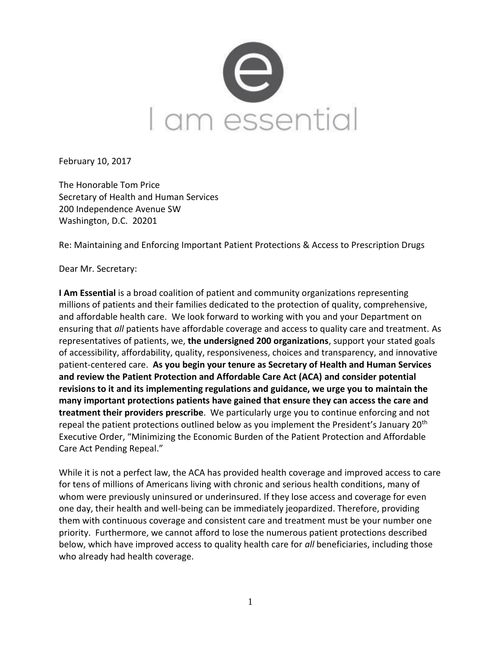

February 10, 2017

The Honorable Tom Price Secretary of Health and Human Services 200 Independence Avenue SW Washington, D.C. 20201

Re: Maintaining and Enforcing Important Patient Protections & Access to Prescription Drugs

Dear Mr. Secretary:

**I Am Essential** is a broad coalition of patient and community organizations representing millions of patients and their families dedicated to the protection of quality, comprehensive, and affordable health care. We look forward to working with you and your Department on ensuring that *all* patients have affordable coverage and access to quality care and treatment. As representatives of patients, we, **the undersigned 200 organizations**, support your stated goals of accessibility, affordability, quality, responsiveness, choices and transparency, and innovative patient-centered care. **As you begin your tenure as Secretary of Health and Human Services and review the Patient Protection and Affordable Care Act (ACA) and consider potential revisions to it and its implementing regulations and guidance, we urge you to maintain the many important protections patients have gained that ensure they can access the care and treatment their providers prescribe**. We particularly urge you to continue enforcing and not repeal the patient protections outlined below as you implement the President's January 20<sup>th</sup> Executive Order, "Minimizing the Economic Burden of the Patient Protection and Affordable Care Act Pending Repeal."

While it is not a perfect law, the ACA has provided health coverage and improved access to care for tens of millions of Americans living with chronic and serious health conditions, many of whom were previously uninsured or underinsured. If they lose access and coverage for even one day, their health and well-being can be immediately jeopardized. Therefore, providing them with continuous coverage and consistent care and treatment must be your number one priority. Furthermore, we cannot afford to lose the numerous patient protections described below, which have improved access to quality health care for *all* beneficiaries, including those who already had health coverage.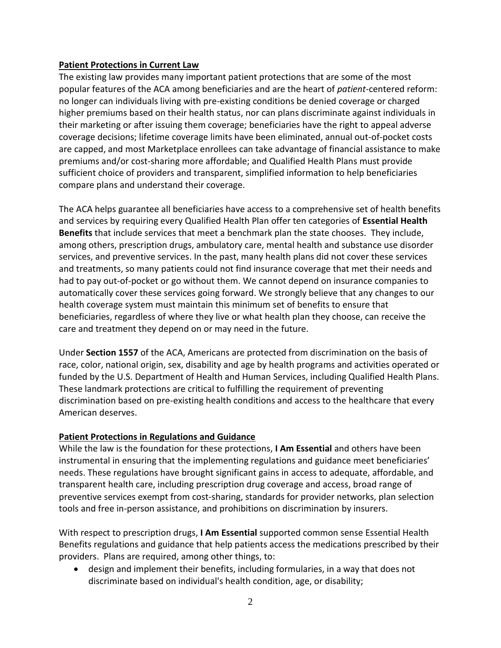## **Patient Protections in Current Law**

The existing law provides many important patient protections that are some of the most popular features of the ACA among beneficiaries and are the heart of *patient*-centered reform: no longer can individuals living with pre-existing conditions be denied coverage or charged higher premiums based on their health status, nor can plans discriminate against individuals in their marketing or after issuing them coverage; beneficiaries have the right to appeal adverse coverage decisions; lifetime coverage limits have been eliminated, annual out-of-pocket costs are capped, and most Marketplace enrollees can take advantage of financial assistance to make premiums and/or cost-sharing more affordable; and Qualified Health Plans must provide sufficient choice of providers and transparent, simplified information to help beneficiaries compare plans and understand their coverage.

The ACA helps guarantee all beneficiaries have access to a comprehensive set of health benefits and services by requiring every Qualified Health Plan offer ten categories of **Essential Health Benefits** that include services that meet a benchmark plan the state chooses. They include, among others, prescription drugs, ambulatory care, mental health and substance use disorder services, and preventive services. In the past, many health plans did not cover these services and treatments, so many patients could not find insurance coverage that met their needs and had to pay out-of-pocket or go without them. We cannot depend on insurance companies to automatically cover these services going forward. We strongly believe that any changes to our health coverage system must maintain this minimum set of benefits to ensure that beneficiaries, regardless of where they live or what health plan they choose, can receive the care and treatment they depend on or may need in the future.

Under **Section 1557** of the ACA, Americans are protected from discrimination on the basis of race, color, national origin, sex, disability and age by health programs and activities operated or funded by the U.S. Department of Health and Human Services, including Qualified Health Plans. These landmark protections are critical to fulfilling the requirement of preventing discrimination based on pre-existing health conditions and access to the healthcare that every American deserves.

## **Patient Protections in Regulations and Guidance**

While the law is the foundation for these protections, **I Am Essential** and others have been instrumental in ensuring that the implementing regulations and guidance meet beneficiaries' needs. These regulations have brought significant gains in access to adequate, affordable, and transparent health care, including prescription drug coverage and access, broad range of preventive services exempt from cost-sharing, standards for provider networks, plan selection tools and free in-person assistance, and prohibitions on discrimination by insurers.

With respect to prescription drugs, **I Am Essential** supported common sense Essential Health Benefits regulations and guidance that help patients access the medications prescribed by their providers. Plans are required, among other things, to:

 design and implement their benefits, including formularies, in a way that does not discriminate based on individual's health condition, age, or disability;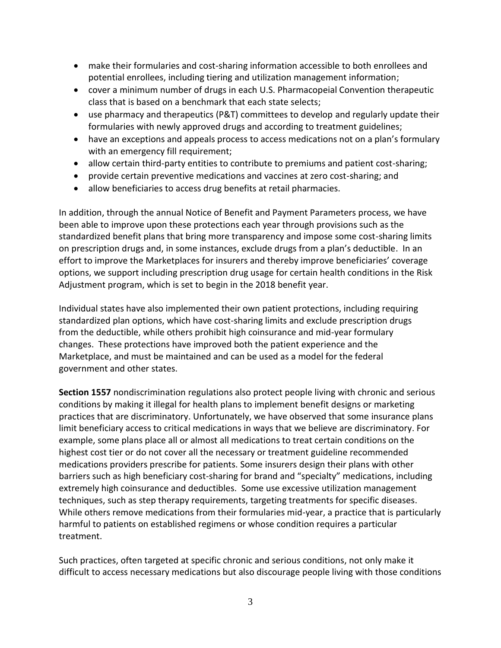- make their formularies and cost-sharing information accessible to both enrollees and potential enrollees, including tiering and utilization management information;
- cover a minimum number of drugs in each U.S. Pharmacopeial Convention therapeutic class that is based on a benchmark that each state selects;
- use pharmacy and therapeutics (P&T) committees to develop and regularly update their formularies with newly approved drugs and according to treatment guidelines;
- have an exceptions and appeals process to access medications not on a plan's formulary with an emergency fill requirement;
- allow certain third-party entities to contribute to premiums and patient cost-sharing;
- provide certain preventive medications and vaccines at zero cost-sharing; and
- allow beneficiaries to access drug benefits at retail pharmacies.

In addition, through the annual Notice of Benefit and Payment Parameters process, we have been able to improve upon these protections each year through provisions such as the standardized benefit plans that bring more transparency and impose some cost-sharing limits on prescription drugs and, in some instances, exclude drugs from a plan's deductible. In an effort to improve the Marketplaces for insurers and thereby improve beneficiaries' coverage options, we support including prescription drug usage for certain health conditions in the Risk Adjustment program, which is set to begin in the 2018 benefit year.

Individual states have also implemented their own patient protections, including requiring standardized plan options, which have cost-sharing limits and exclude prescription drugs from the deductible, while others prohibit high coinsurance and mid-year formulary changes. These protections have improved both the patient experience and the Marketplace, and must be maintained and can be used as a model for the federal government and other states.

**Section 1557** nondiscrimination regulations also protect people living with chronic and serious conditions by making it illegal for health plans to implement benefit designs or marketing practices that are discriminatory. Unfortunately, we have observed that some insurance plans limit beneficiary access to critical medications in ways that we believe are discriminatory. For example, some plans place all or almost all medications to treat certain conditions on the highest cost tier or do not cover all the necessary or treatment guideline recommended medications providers prescribe for patients. Some insurers design their plans with other barriers such as high beneficiary cost-sharing for brand and "specialty" medications, including extremely high coinsurance and deductibles. Some use excessive utilization management techniques, such as step therapy requirements, targeting treatments for specific diseases. While others remove medications from their formularies mid-year, a practice that is particularly harmful to patients on established regimens or whose condition requires a particular treatment.

Such practices, often targeted at specific chronic and serious conditions, not only make it difficult to access necessary medications but also discourage people living with those conditions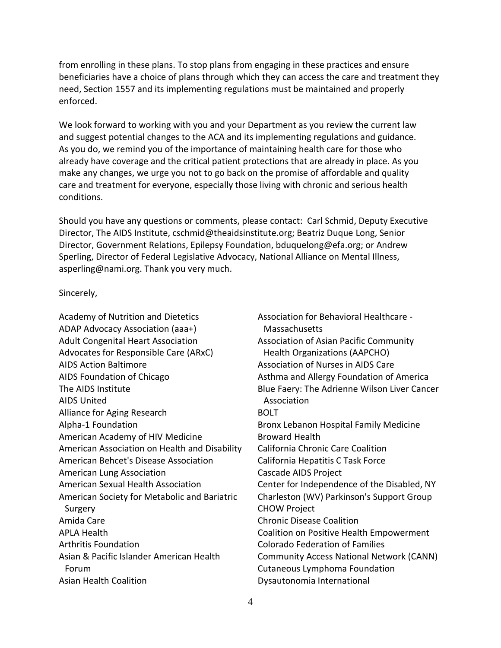from enrolling in these plans. To stop plans from engaging in these practices and ensure beneficiaries have a choice of plans through which they can access the care and treatment they need, Section 1557 and its implementing regulations must be maintained and properly enforced.

We look forward to working with you and your Department as you review the current law and suggest potential changes to the ACA and its implementing regulations and guidance. As you do, we remind you of the importance of maintaining health care for those who already have coverage and the critical patient protections that are already in place. As you make any changes, we urge you not to go back on the promise of affordable and quality care and treatment for everyone, especially those living with chronic and serious health conditions.

Should you have any questions or comments, please contact: Carl Schmid, Deputy Executive Director, The AIDS Institute, cschmid@theaidsinstitute.org; Beatriz Duque Long, Senior Director, Government Relations, Epilepsy Foundation, bduquelong@efa.org; or Andrew Sperling, Director of Federal Legislative Advocacy, National Alliance on Mental Illness, asperling@nami.org. Thank you very much.

Sincerely,

Academy of Nutrition and Dietetics ADAP Advocacy Association (aaa+) Adult Congenital Heart Association Advocates for Responsible Care (ARxC) AIDS Action Baltimore AIDS Foundation of Chicago The AIDS Institute AIDS United Alliance for Aging Research Alpha-1 Foundation American Academy of HIV Medicine American Association on Health and Disability American Behcet's Disease Association American Lung Association American Sexual Health Association American Society for Metabolic and Bariatric Surgery Amida Care APLA Health Arthritis Foundation Asian & Pacific Islander American Health Forum Asian Health Coalition

Association for Behavioral Healthcare - Massachusetts Association of Asian Pacific Community Health Organizations (AAPCHO) Association of Nurses in AIDS Care Asthma and Allergy Foundation of America Blue Faery: The Adrienne Wilson Liver Cancer Association BOLT Bronx Lebanon Hospital Family Medicine Broward Health California Chronic Care Coalition California Hepatitis C Task Force Cascade AIDS Project Center for Independence of the Disabled, NY Charleston (WV) Parkinson's Support Group CHOW Project Chronic Disease Coalition Coalition on Positive Health Empowerment Colorado Federation of Families Community Access National Network (CANN) Cutaneous Lymphoma Foundation Dysautonomia International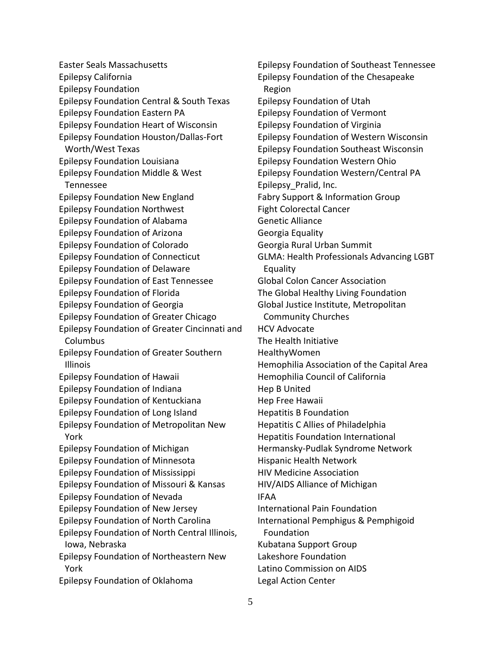Easter Seals Massachusetts Epilepsy California Epilepsy Foundation Epilepsy Foundation Central & South Texas Epilepsy Foundation Eastern PA Epilepsy Foundation Heart of Wisconsin Epilepsy Foundation Houston/Dallas-Fort Worth/West Texas Epilepsy Foundation Louisiana Epilepsy Foundation Middle & West Tennessee Epilepsy Foundation New England Epilepsy Foundation Northwest Epilepsy Foundation of Alabama Epilepsy Foundation of Arizona Epilepsy Foundation of Colorado Epilepsy Foundation of Connecticut Epilepsy Foundation of Delaware Epilepsy Foundation of East Tennessee Epilepsy Foundation of Florida Epilepsy Foundation of Georgia Epilepsy Foundation of Greater Chicago Epilepsy Foundation of Greater Cincinnati and Columbus Epilepsy Foundation of Greater Southern Illinois Epilepsy Foundation of Hawaii Epilepsy Foundation of Indiana Epilepsy Foundation of Kentuckiana Epilepsy Foundation of Long Island Epilepsy Foundation of Metropolitan New York Epilepsy Foundation of Michigan Epilepsy Foundation of Minnesota Epilepsy Foundation of Mississippi Epilepsy Foundation of Missouri & Kansas Epilepsy Foundation of Nevada Epilepsy Foundation of New Jersey Epilepsy Foundation of North Carolina Epilepsy Foundation of North Central Illinois, Iowa, Nebraska Epilepsy Foundation of Northeastern New York Epilepsy Foundation of Oklahoma

Epilepsy Foundation of Southeast Tennessee Epilepsy Foundation of the Chesapeake Region Epilepsy Foundation of Utah Epilepsy Foundation of Vermont Epilepsy Foundation of Virginia Epilepsy Foundation of Western Wisconsin Epilepsy Foundation Southeast Wisconsin Epilepsy Foundation Western Ohio Epilepsy Foundation Western/Central PA Epilepsy\_Pralid, Inc. Fabry Support & Information Group Fight Colorectal Cancer Genetic Alliance Georgia Equality Georgia Rural Urban Summit GLMA: Health Professionals Advancing LGBT Equality Global Colon Cancer Association The Global Healthy Living Foundation Global Justice Institute, Metropolitan Community Churches HCV Advocate The Health Initiative HealthyWomen Hemophilia Association of the Capital Area Hemophilia Council of California Hep B United Hep Free Hawaii Hepatitis B Foundation Hepatitis C Allies of Philadelphia Hepatitis Foundation International Hermansky-Pudlak Syndrome Network Hispanic Health Network HIV Medicine Association HIV/AIDS Alliance of Michigan IFAA International Pain Foundation International Pemphigus & Pemphigoid Foundation Kubatana Support Group Lakeshore Foundation Latino Commission on AIDS Legal Action Center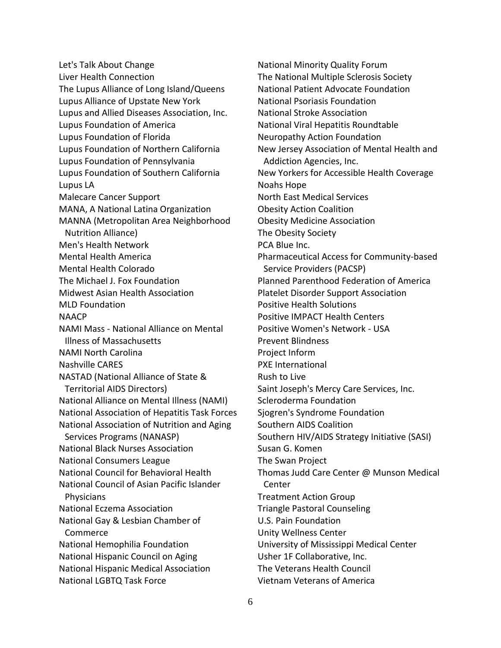Let's Talk About Change Liver Health Connection The Lupus Alliance of Long Island/Queens Lupus Alliance of Upstate New York Lupus and Allied Diseases Association, Inc. Lupus Foundation of America Lupus Foundation of Florida Lupus Foundation of Northern California Lupus Foundation of Pennsylvania Lupus Foundation of Southern California Lupus LA Malecare Cancer Support MANA, A National Latina Organization MANNA (Metropolitan Area Neighborhood Nutrition Alliance) Men's Health Network Mental Health America Mental Health Colorado The Michael J. Fox Foundation Midwest Asian Health Association MLD Foundation NAACP NAMI Mass - National Alliance on Mental Illness of Massachusetts NAMI North Carolina Nashville CARES NASTAD (National Alliance of State & Territorial AIDS Directors) National Alliance on Mental Illness (NAMI) National Association of Hepatitis Task Forces National Association of Nutrition and Aging Services Programs (NANASP) National Black Nurses Association National Consumers League National Council for Behavioral Health National Council of Asian Pacific Islander **Physicians** National Eczema Association National Gay & Lesbian Chamber of Commerce National Hemophilia Foundation National Hispanic Council on Aging National Hispanic Medical Association National LGBTQ Task Force

National Minority Quality Forum The National Multiple Sclerosis Society National Patient Advocate Foundation National Psoriasis Foundation National Stroke Association National Viral Hepatitis Roundtable Neuropathy Action Foundation New Jersey Association of Mental Health and Addiction Agencies, Inc. New Yorkers for Accessible Health Coverage Noahs Hope North East Medical Services Obesity Action Coalition Obesity Medicine Association The Obesity Society PCA Blue Inc. Pharmaceutical Access for Community-based Service Providers (PACSP) Planned Parenthood Federation of America Platelet Disorder Support Association Positive Health Solutions Positive IMPACT Health Centers Positive Women's Network - USA Prevent Blindness Project Inform PXE International Rush to Live Saint Joseph's Mercy Care Services, Inc. Scleroderma Foundation Sjogren's Syndrome Foundation Southern AIDS Coalition Southern HIV/AIDS Strategy Initiative (SASI) Susan G. Komen The Swan Project Thomas Judd Care Center @ Munson Medical Center Treatment Action Group Triangle Pastoral Counseling U.S. Pain Foundation Unity Wellness Center University of Mississippi Medical Center Usher 1F Collaborative, Inc. The Veterans Health Council Vietnam Veterans of America